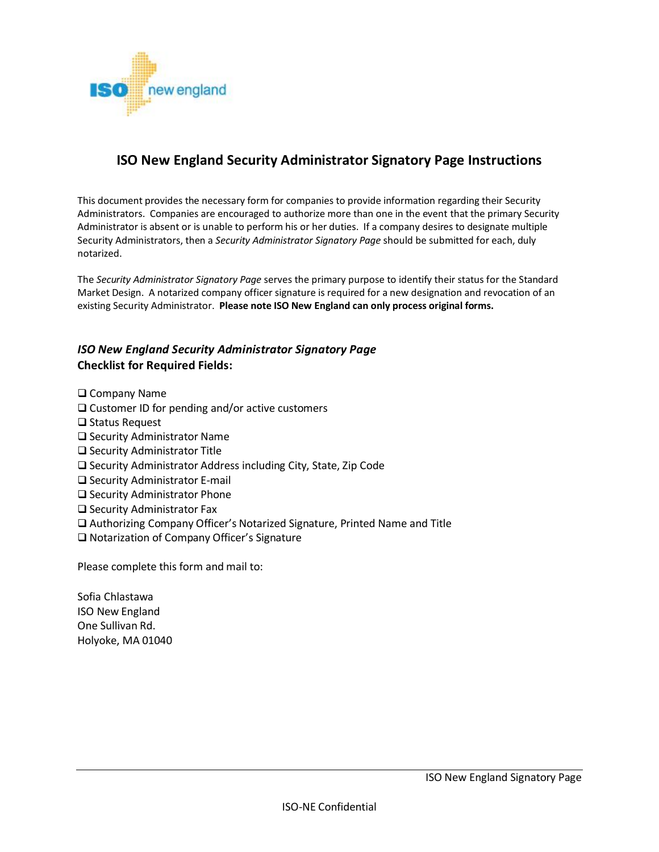

# **ISO New England Security Administrator Signatory Page Instructions**

This document provides the necessary form for companies to provide information regarding their Security Administrators. Companies are encouraged to authorize more than one in the event that the primary Security Administrator is absent or is unable to perform his or her duties. If a company desires to designate multiple Security Administrators, then a *Security Administrator Signatory Page* should be submitted for each, duly notarized.

The *Security Administrator Signatory Page* serves the primary purpose to identify their status for the Standard Market Design. A notarized company officer signature is required for a new designation and revocation of an existing Security Administrator. **Please note ISO New England can only process original forms.**

# *ISO New England Security Administrator Signatory Page* **Checklist for Required Fields:**

□ Company Name

- $\square$  Customer ID for pending and/or active customers
- $\square$  Status Request
- □ Security Administrator Name
- □ Security Administrator Title
- $\square$  Security Administrator Address including City, State, Zip Code
- □ Security Administrator E-mail
- $\square$  Security Administrator Phone
- $\square$  Security Administrator Fax
- Authorizing Company Officer's Notarized Signature, Printed Name and Title
- □ Notarization of Company Officer's Signature

Please complete this form and mail to:

Sofia Chlastawa ISO New England One Sullivan Rd. Holyoke, MA 01040